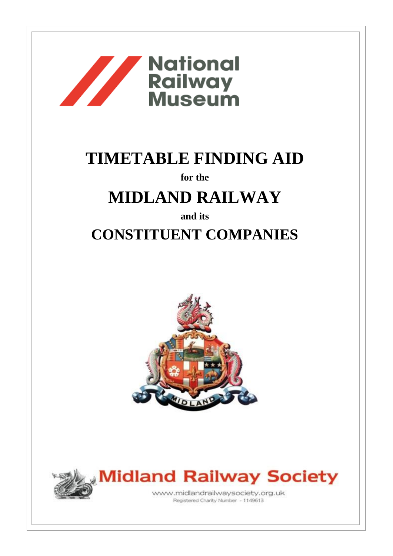

# **TIMETABLE FINDING AID**

**for the**

## **MIDLAND RAILWAY**

**and its**

### **CONSTITUENT COMPANIES**





**Midland Railway Society** www.midlandrailwaysociety.org.uk

Registered Charity Number - 1149613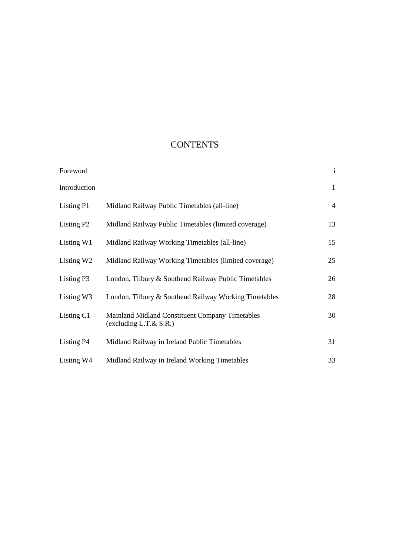### **CONTENTS**

| Foreword               |                                                                                     | $\mathbf{i}$ |
|------------------------|-------------------------------------------------------------------------------------|--------------|
| Introduction           |                                                                                     | $\mathbf{1}$ |
| Listing P1             | Midland Railway Public Timetables (all-line)                                        | 4            |
| Listing P <sub>2</sub> | Midland Railway Public Timetables (limited coverage)                                | 13           |
| Listing W1             | Midland Railway Working Timetables (all-line)                                       | 15           |
| Listing W <sub>2</sub> | Midland Railway Working Timetables (limited coverage)                               | 25           |
| Listing P3             | London, Tilbury & Southend Railway Public Timetables                                | 26           |
| Listing W3             | London, Tilbury & Southend Railway Working Timetables                               | 28           |
| Listing C1             | <b>Mainland Midland Constituent Company Timetables</b><br>$(excluding L.T.\& S.R.)$ | 30           |
| Listing P <sub>4</sub> | Midland Railway in Ireland Public Timetables                                        | 31           |
| Listing W4             | Midland Railway in Ireland Working Timetables                                       | 33           |